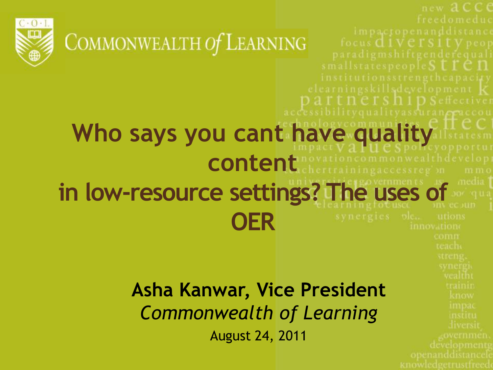

COMMONWEALTH Of LEARNING

#### **Who says you cant have quality**  nmonwealthdevelop **content**   $m$   $m$  $c$ **in low-resource settings? The uses of OER** utions

new ACCC

teach

openanddistancel

liversit

focus **d** 1 Versit V peop

smallstatespeople  $S \in \Gamma \subset \Pi$ 

bilityqualityassuranceaccou

thership Seffectiver

elearningskillsdevelopment k

#### **Asha Kanwar, Vice President** *Commonwealth of Learning*

August 24, 2011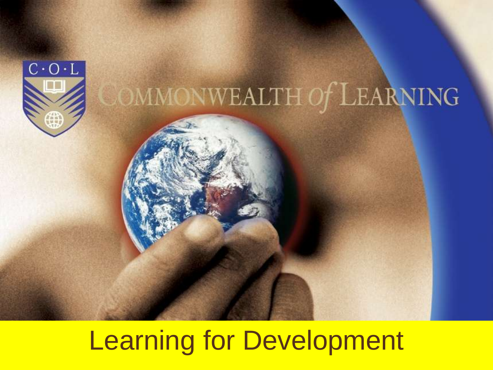

# OMMONWEALTH Of LEARNING

## Learning for Development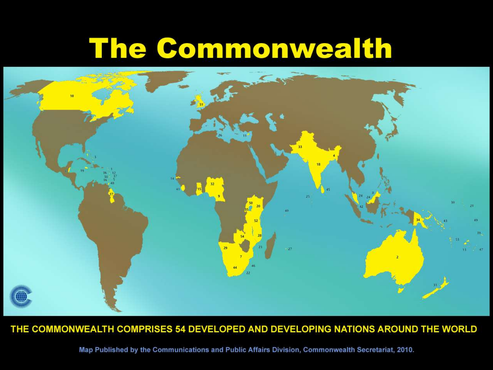## **The Commonwealth**



#### THE COMMONWEALTH COMPRISES 54 DEVELOPED AND DEVELOPING NATIONS AROUND THE WORLD

Map Published by the Communications and Public Affairs Division, Commonwealth Secretariat, 2010.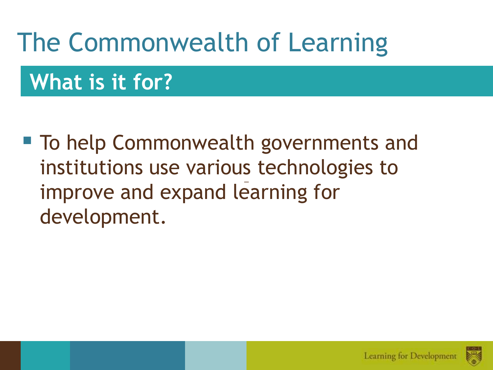## The Commonwealth of Learning

**What is it for?**

■ To help Commonwealth governments and institutions use various technologies to improve and expand learning for development.

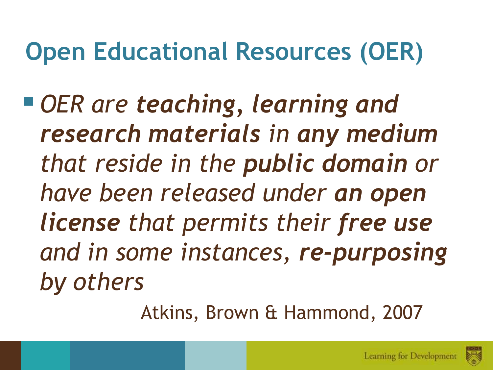## **Open Educational Resources (OER)**

 *OER are teaching, learning and research materials in any medium that reside in the public domain or have been released under an open license that permits their free use and in some instances, re-purposing by others*

Atkins, Brown & Hammond, 2007

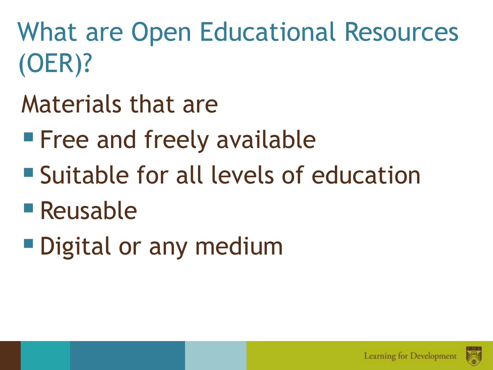What are Open Educational Resources (OER)?

- Materials that are
- **Free and freely available**
- Suitable for all levels of education
- Reusable
- **Digital or any medium**

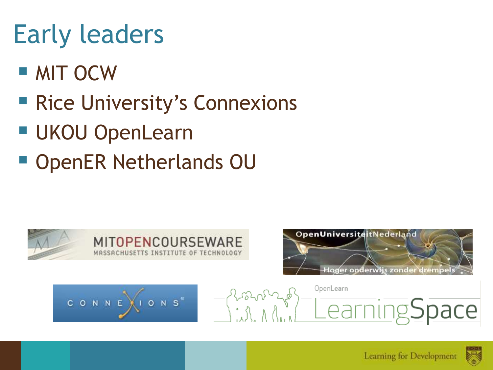## Early leaders

- MIT OCW
- Rice University's Connexions
- UKOU OpenLearn
- OpenER Netherlands OU









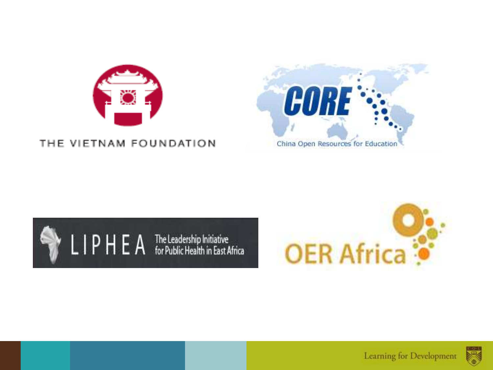

#### THE VIETNAM FOUNDATION







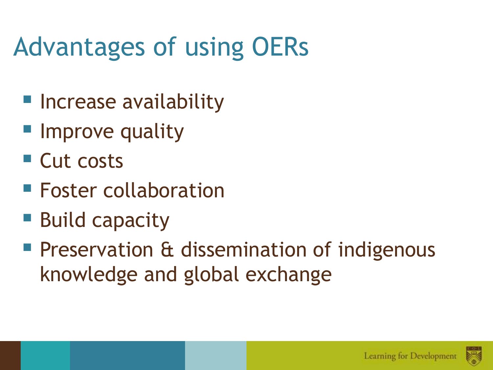## Advantages of using OERs

- Increase availability
- **Improve quality**
- Cut costs
- **Foster collaboration**
- Build capacity
- **Preservation & dissemination of indigenous** knowledge and global exchange

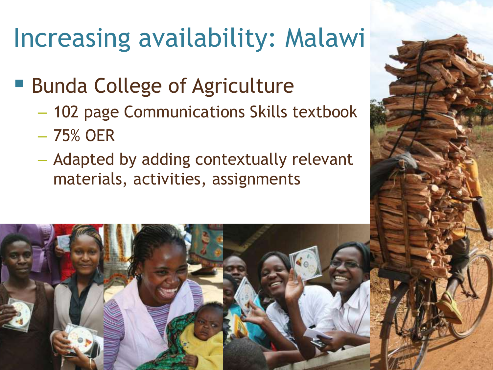## Increasing availability: Malawi

- Bunda College of Agriculture
	- 102 page Communications Skills textbook
	- 75% OER
	- Adapted by adding contextually relevant materials, activities, assignments

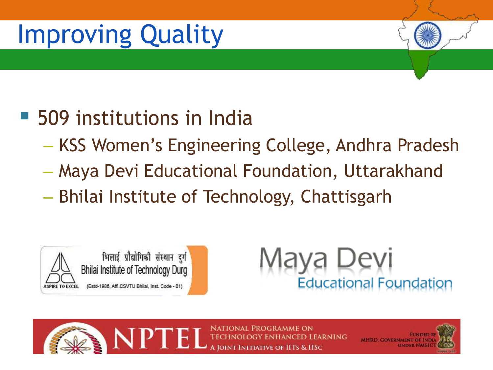## Improving Quality

## 509 institutions in India

- KSS Women's Engineering College, Andhra Pradesh
- Maya Devi Educational Foundation, Uttarakhand
- Bhilai Institute of Technology, Chattisgarh







NATIONAL PROGRAMME ON anced Learning **JOINT INITIATIVE OF HTS & HSC** 

**MHRD. GOVERNMENT OF IN**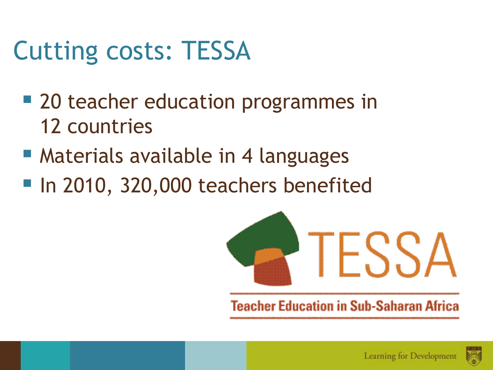## Cutting costs: TESSA

- 20 teacher education programmes in 12 countries
- Materials available in 4 languages
- In 2010, 320,000 teachers benefited



**Teacher Education in Sub-Saharan Africa** 

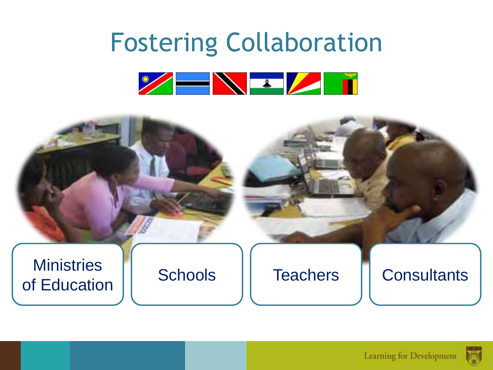## Fostering Collaboration



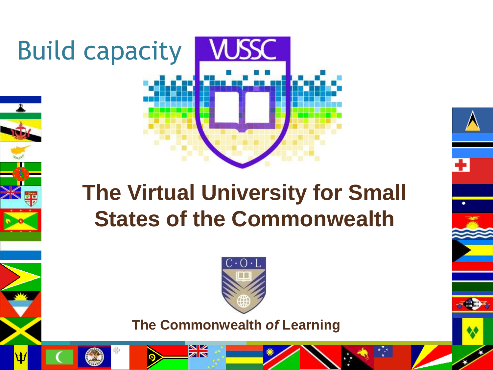

÷

Build capacity



**The Commonwealth** *of* **Learning**

 $\frac{\mathbf{N}}{\mathbf{N}}$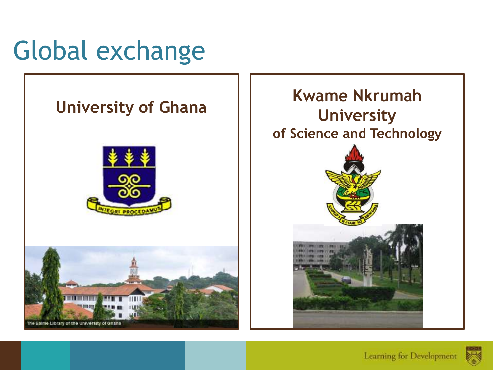









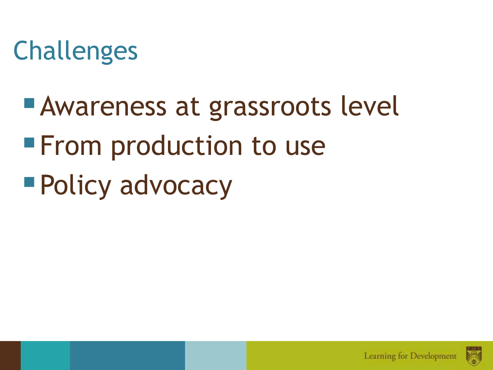## Challenges

**Awareness at grassroots level From production to use** ■ Policy advocacy



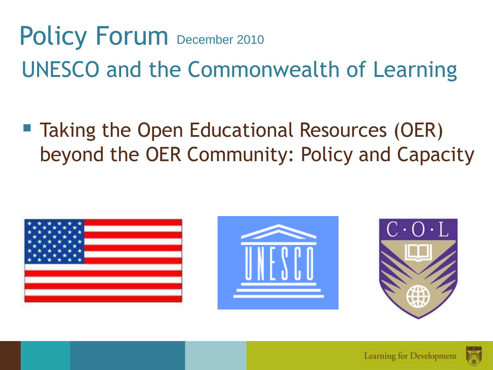# Policy Forum December 2010 UNESCO and the Commonwealth of Learning

### ■ Taking the Open Educational Resources (OER) beyond the OER Community: Policy and Capacity









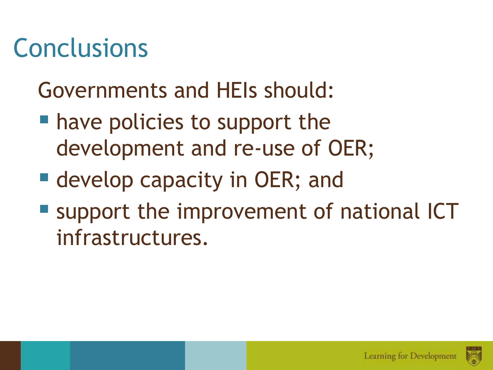## Conclusions

## Governments and HEIs should:

- **have policies to support the** development and re-use of OER;
- **develop capacity in OER; and**
- **Support the improvement of national ICT** infrastructures.

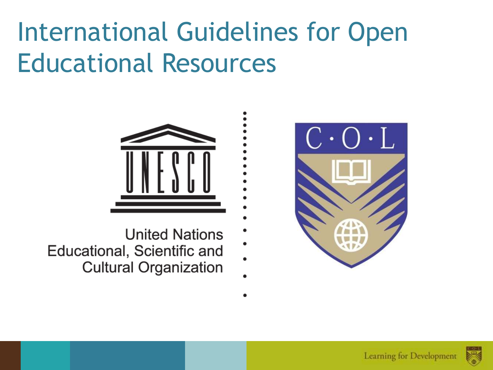## International Guidelines for Open Educational Resources





- **United Nations**
- Educational, Scientific and
	- **Cultural Organization**